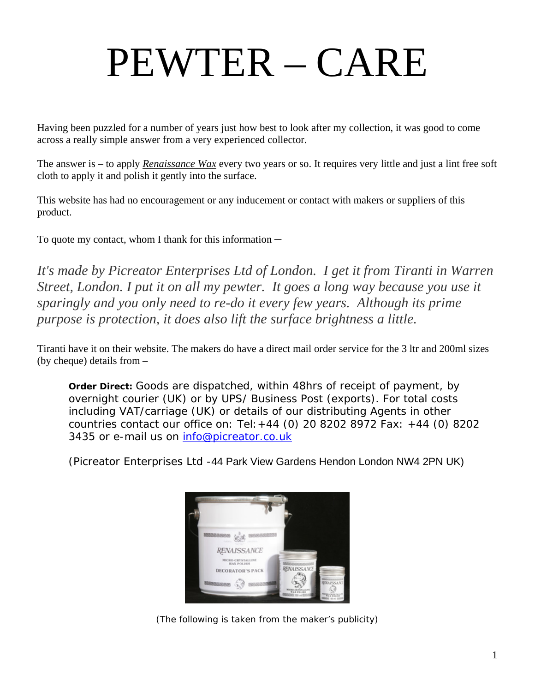## PEWTER – CARE

Having been puzzled for a number of years just how best to look after my collection, it was good to come across a really simple answer from a very experienced collector.

The answer is – to apply *Renaissance Wax* every two years or so. It requires very little and just a lint free soft cloth to apply it and polish it gently into the surface.

This website has had no encouragement or any inducement or contact with makers or suppliers of this product.

To quote my contact, whom I thank for this information  $-$ 

*It's made by Picreator Enterprises Ltd of London. I get it from Tiranti in Warren Street, London. I put it on all my pewter. It goes a long way because you use it sparingly and you only need to re-do it every few years. Although its prime purpose is protection, it does also lift the surface brightness a little.* 

Tiranti have it on their website. The makers do have a direct mail order service for the 3 ltr and 200ml sizes (by cheque) details from –

**Order Direct:** Goods are dispatched, within 48hrs of receipt of payment, by overnight courier (UK) or by UPS/ Business Post (exports). For total costs including VAT/carriage (UK) or details of our distributing Agents in other countries contact our office on: Tel:+44 (0) 20 8202 8972 Fax: +44 (0) 8202 3435 or e-mail us on info@picreator.co.uk

(Picreator Enterprises Ltd -44 Park View Gardens Hendon London NW4 2PN UK)



(The following is taken from the maker's publicity)